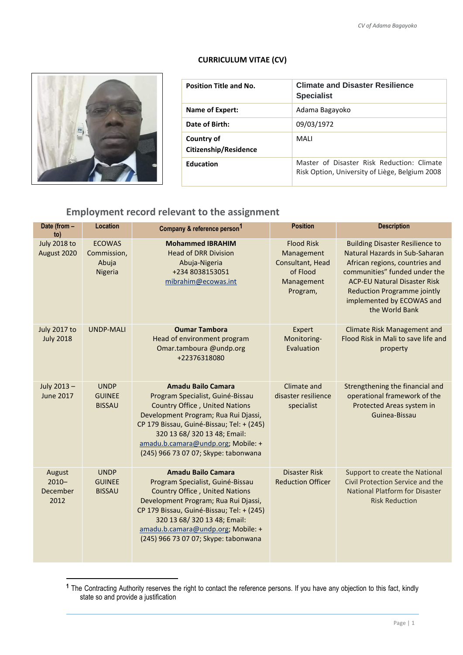## **CURRICULUM VITAE (CV)**



**.** 

| <b>Position Title and No.</b>       | <b>Climate and Disaster Resilience</b><br><b>Specialist</b>                                  |
|-------------------------------------|----------------------------------------------------------------------------------------------|
| Name of Expert:                     | Adama Bagayoko                                                                               |
| Date of Birth:                      | 09/03/1972                                                                                   |
| Country of<br>Citizenship/Residence | <b>MAII</b>                                                                                  |
| <b>Education</b>                    | Master of Disaster Risk Reduction: Climate<br>Risk Option, University of Liège, Belgium 2008 |

## **Employment record relevant to the assignment**

| Date (from -<br>to)                     | Location                                         | Company & reference person <sup>1</sup>                                                                                                                                                                                                                                                                   | <b>Position</b>                                                                           | <b>Description</b>                                                                                                                                                                                                                                                      |
|-----------------------------------------|--------------------------------------------------|-----------------------------------------------------------------------------------------------------------------------------------------------------------------------------------------------------------------------------------------------------------------------------------------------------------|-------------------------------------------------------------------------------------------|-------------------------------------------------------------------------------------------------------------------------------------------------------------------------------------------------------------------------------------------------------------------------|
| <b>July 2018 to</b><br>August 2020      | <b>ECOWAS</b><br>Commission,<br>Abuja<br>Nigeria | <b>Mohammed IBRAHIM</b><br><b>Head of DRR Division</b><br>Abuja-Nigeria<br>+234 8038153051<br>mibrahim@ecowas.int                                                                                                                                                                                         | <b>Flood Risk</b><br>Management<br>Consultant, Head<br>of Flood<br>Management<br>Program, | <b>Building Disaster Resilience to</b><br>Natural Hazards in Sub-Saharan<br>African regions, countries and<br>communities" funded under the<br><b>ACP-EU Natural Disaster Risk</b><br><b>Reduction Programme jointly</b><br>implemented by ECOWAS and<br>the World Bank |
| <b>July 2017 to</b><br><b>July 2018</b> | <b>UNDP-MALI</b>                                 | <b>Oumar Tambora</b><br>Head of environment program<br>Omar.tamboura @undp.org<br>+22376318080                                                                                                                                                                                                            | Expert<br>Monitoring-<br>Evaluation                                                       | <b>Climate Risk Management and</b><br>Flood Risk in Mali to save life and<br>property                                                                                                                                                                                   |
| July 2013-<br><b>June 2017</b>          | <b>UNDP</b><br><b>GUINEE</b><br><b>BISSAU</b>    | <b>Amadu Bailo Camara</b><br>Program Specialist, Guiné-Bissau<br><b>Country Office, United Nations</b><br>Development Program; Rua Rui Djassi,<br>CP 179 Bissau, Guiné-Bissau; Tel: + (245)<br>320 13 68/ 320 13 48; Email:<br>amadu.b.camara@undp.org; Mobile: +<br>(245) 966 73 07 07; Skype: tabonwana | Climate and<br>disaster resilience<br>specialist                                          | Strengthening the financial and<br>operational framework of the<br>Protected Areas system in<br>Guinea-Bissau                                                                                                                                                           |
| August<br>$2010 -$<br>December<br>2012  | <b>UNDP</b><br><b>GUINEE</b><br><b>BISSAU</b>    | <b>Amadu Bailo Camara</b><br>Program Specialist, Guiné-Bissau<br><b>Country Office, United Nations</b><br>Development Program; Rua Rui Djassi,<br>CP 179 Bissau, Guiné-Bissau; Tel: + (245)<br>320 13 68/ 320 13 48; Email:<br>amadu.b.camara@undp.org; Mobile: +<br>(245) 966 73 07 07; Skype: tabonwana | <b>Disaster Risk</b><br><b>Reduction Officer</b>                                          | Support to create the National<br>Civil Protection Service and the<br><b>National Platform for Disaster</b><br><b>Risk Reduction</b>                                                                                                                                    |

**<sup>1</sup>** The Contracting Authority reserves the right to contact the reference persons. If you have any objection to this fact, kindly state so and provide a justification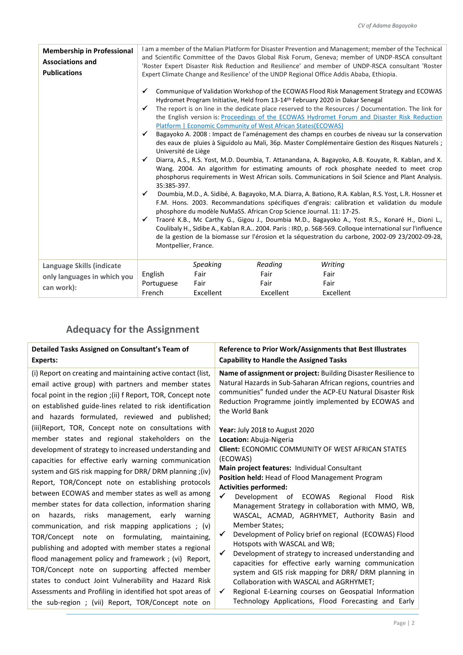| <b>Membership in Professional</b><br><b>Associations and</b><br><b>Publications</b> |                                                                                                                           |                                       |                                                                                                                                       | I am a member of the Malian Platform for Disaster Prevention and Management; member of the Technical<br>and Scientific Committee of the Davos Global Risk Forum, Geneva; member of UNDP-RSCA consultant<br>'Roster Expert Disaster Risk Reduction and Resilience' and member of UNDP-RSCA consultant 'Roster<br>Expert Climate Change and Resilience' of the UNDP Regional Office Addis Ababa, Ethiopia.                                                                                                                                                                                                                                                                                                                                                                                                                                                                                                                                                                                                                                                                                                                                                                                                                                                                                                                                                                                                                     |
|-------------------------------------------------------------------------------------|---------------------------------------------------------------------------------------------------------------------------|---------------------------------------|---------------------------------------------------------------------------------------------------------------------------------------|------------------------------------------------------------------------------------------------------------------------------------------------------------------------------------------------------------------------------------------------------------------------------------------------------------------------------------------------------------------------------------------------------------------------------------------------------------------------------------------------------------------------------------------------------------------------------------------------------------------------------------------------------------------------------------------------------------------------------------------------------------------------------------------------------------------------------------------------------------------------------------------------------------------------------------------------------------------------------------------------------------------------------------------------------------------------------------------------------------------------------------------------------------------------------------------------------------------------------------------------------------------------------------------------------------------------------------------------------------------------------------------------------------------------------|
|                                                                                     | ✔<br>✓<br>$\checkmark$<br>Université de Liège<br>$\checkmark$<br>35:385-397.<br>✓<br>$\checkmark$<br>Montpellier, France. |                                       | Platform   Economic Community of West African States (ECOWAS)<br>phosphore du modèle NuMaSS. African Crop Science Journal. 11: 17-25. | Communique of Validation Workshop of the ECOWAS Flood Risk Management Strategy and ECOWAS<br>Hydromet Program Initiative, Held from 13-14th February 2020 in Dakar Senegal<br>The report is on line in the dedicate place reserved to the Resources / Documentation. The link for<br>the English version is: Proceedings of the ECOWAS Hydromet Forum and Disaster Risk Reduction<br>Bagayoko A. 2008 : Impact de l'aménagement des champs en courbes de niveau sur la conservation<br>des eaux de pluies à Siguidolo au Mali, 36p. Master Complémentaire Gestion des Risques Naturels ;<br>Diarra, A.S., R.S. Yost, M.D. Doumbia, T. Attanandana, A. Bagayoko, A.B. Kouyate, R. Kablan, and X.<br>Wang. 2004. An algorithm for estimating amounts of rock phosphate needed to meet crop<br>phosphorus requirements in West African soils. Communications in Soil Science and Plant Analysis.<br>Doumbia, M.D., A. Sidibé, A. Bagayoko, M.A. Diarra, A. Bationo, R.A. Kablan, R.S. Yost, L.R. Hossner et<br>F.M. Hons. 2003. Recommandations spécifiques d'engrais: calibration et validation du module<br>Traoré K.B., Mc Carthy G., Gigou J., Doumbia M.D., Bagayoko A., Yost R.S., Konaré H., Dioni L.,<br>Coulibaly H., Sidibe A., Kablan R.A 2004. Paris : IRD, p. 568-569. Colloque international sur l'influence<br>de la gestion de la biomasse sur l'érosion et la séquestration du carbone, 2002-09 23/2002-09-28, |
| Language Skills (indicate<br>only languages in which you<br>can work):              | English<br>Portuguese<br>French                                                                                           | Speaking<br>Fair<br>Fair<br>Excellent | Reading<br>Fair<br>Fair<br>Excellent                                                                                                  | Writing<br>Fair<br>Fair<br>Excellent                                                                                                                                                                                                                                                                                                                                                                                                                                                                                                                                                                                                                                                                                                                                                                                                                                                                                                                                                                                                                                                                                                                                                                                                                                                                                                                                                                                         |

## **Adequacy for the Assignment**

| Detailed Tasks Assigned on Consultant's Team of              | Reference to Prior Work/Assignments that Best Illustrates      |
|--------------------------------------------------------------|----------------------------------------------------------------|
| <b>Experts:</b>                                              | <b>Capability to Handle the Assigned Tasks</b>                 |
| (i) Report on creating and maintaining active contact (list, | Name of assignment or project: Building Disaster Resilience to |
| email active group) with partners and member states          | Natural Hazards in Sub-Saharan African regions, countries and  |
| focal point in the region ; (ii) f Report, TOR, Concept note | communities" funded under the ACP-EU Natural Disaster Risk     |
| on established guide-lines related to risk identification    | Reduction Programme jointly implemented by ECOWAS and          |
| and hazards formulated, reviewed and published;              | the World Bank                                                 |
| (iii) Report, TOR, Concept note on consultations with        | Year: July 2018 to August 2020                                 |
| member states and regional stakeholders on the               | Location: Abuja-Nigeria                                        |
| development of strategy to increased understanding and       | <b>Client: ECONOMIC COMMUNITY OF WEST AFRICAN STATES</b>       |
| capacities for effective early warning communication         | (ECOWAS)                                                       |
| system and GIS risk mapping for DRR/ DRM planning; (iv)      | Main project features: Individual Consultant                   |
| Report, TOR/Concept note on establishing protocols           | <b>Position held: Head of Flood Management Program</b>         |
| between ECOWAS and member states as well as among            | <b>Activities performed:</b>                                   |
| member states for data collection, information sharing       | Development of ECOWAS Regional                                 |
| hazards,                                                     | Flood                                                          |
| risks                                                        | Risk                                                           |
| management, early                                            | Management Strategy in collaboration with MMO, WB,             |
| warning                                                      | WASCAL, ACMAD, AGRHYMET, Authority Basin and                   |
| on                                                           | <b>Member States:</b>                                          |
| communication, and risk mapping applications; (v)            | Development of Policy brief on regional (ECOWAS) Flood         |
| TOR/Concept note on formulating, maintaining,                | Hotspots with WASCAL and WB;                                   |
| publishing and adopted with member states a regional         | Development of strategy to increased understanding and         |
| flood management policy and framework; (vi) Report,          | capacities for effective early warning communication           |
| TOR/Concept note on supporting affected member               | system and GIS risk mapping for DRR/ DRM planning in           |
| states to conduct Joint Vulnerability and Hazard Risk        | Collaboration with WASCAL and AGRHYMET;                        |
| Assessments and Profiling in identified hot spot areas of    | Regional E-Learning courses on Geospatial Information          |
| the sub-region ; (vii) Report, TOR/Concept note on           | Technology Applications, Flood Forecasting and Early           |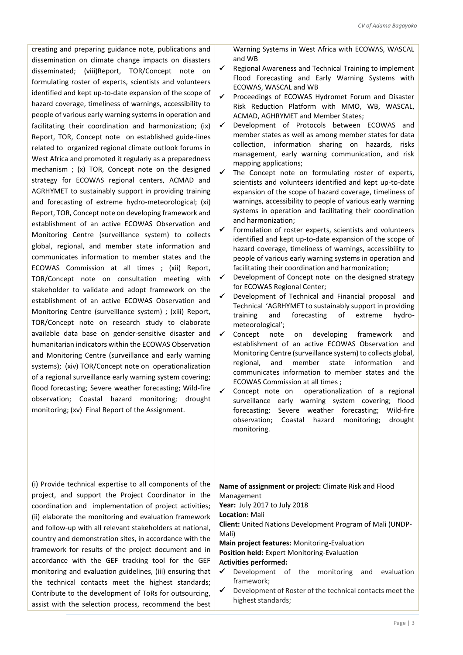creating and preparing guidance note, publications and dissemination on climate change impacts on disasters disseminated; (viii)Report, TOR/Concept note on formulating roster of experts, scientists and volunteers identified and kept up-to-date expansion of the scope of hazard coverage, timeliness of warnings, accessibility to people of various early warning systems in operation and facilitating their coordination and harmonization; (ix) Report, TOR, Concept note on established guide-lines related to organized regional climate outlook forums in West Africa and promoted it regularly as a preparedness mechanism ; (x) TOR, Concept note on the designed strategy for ECOWAS regional centers, ACMAD and AGRHYMET to sustainably support in providing training and forecasting of extreme hydro-meteorological; (xi) Report, TOR, Concept note on developing framework and establishment of an active ECOWAS Observation and Monitoring Centre (surveillance system) to collects global, regional, and member state information and communicates information to member states and the ECOWAS Commission at all times ; (xii) Report, TOR/Concept note on consultation meeting with stakeholder to validate and adopt framework on the establishment of an active ECOWAS Observation and Monitoring Centre (surveillance system) ; (xiii) Report, TOR/Concept note on research study to elaborate available data base on gender-sensitive disaster and humanitarian indicators within the ECOWAS Observation and Monitoring Centre (surveillance and early warning systems); (xiv) TOR/Concept note on operationalization of a regional surveillance early warning system covering; flood forecasting; Severe weather forecasting; Wild-fire observation; Coastal hazard monitoring; drought monitoring; (xv) Final Report of the Assignment.

Warning Systems in West Africa with ECOWAS, WASCAL and WB

- $\checkmark$  Regional Awareness and Technical Training to implement Flood Forecasting and Early Warning Systems with ECOWAS, WASCAL and WB
- Proceedings of ECOWAS Hydromet Forum and Disaster Risk Reduction Platform with MMO, WB, WASCAL, ACMAD, AGHRYMET and Member States;
- Development of Protocols between ECOWAS and member states as well as among member states for data collection, information sharing on hazards, risks management, early warning communication, and risk mapping applications;
- $\checkmark$  The Concept note on formulating roster of experts, scientists and volunteers identified and kept up-to-date expansion of the scope of hazard coverage, timeliness of warnings, accessibility to people of various early warning systems in operation and facilitating their coordination and harmonization;
- Formulation of roster experts, scientists and volunteers identified and kept up-to-date expansion of the scope of hazard coverage, timeliness of warnings, accessibility to people of various early warning systems in operation and facilitating their coordination and harmonization;
- $\checkmark$  Development of Concept note on the designed strategy for ECOWAS Regional Center;
- Development of Technical and Financial proposal and Technical 'AGRHYMET to sustainably support in providing training and forecasting of extreme hydrometeorological';
- Concept note on developing framework and establishment of an active ECOWAS Observation and Monitoring Centre (surveillance system) to collects global, regional, and member state information and communicates information to member states and the ECOWAS Commission at all times ;
- Concept note on operationalization of a regional surveillance early warning system covering; flood forecasting; Severe weather forecasting; Wild-fire observation; Coastal hazard monitoring; drought monitoring.

(i) Provide technical expertise to all components of the project, and support the Project Coordinator in the coordination and implementation of project activities; (ii) elaborate the monitoring and evaluation framework and follow-up with all relevant stakeholders at national, country and demonstration sites, in accordance with the framework for results of the project document and in accordance with the GEF tracking tool for the GEF monitoring and evaluation guidelines, (iii) ensuring that the technical contacts meet the highest standards; Contribute to the development of ToRs for outsourcing, assist with the selection process, recommend the best

**Name of assignment or project:** Climate Risk and Flood Management

**Year:** July 2017 to July 2018

**Location:** Mali

**Client:** United Nations Development Program of Mali (UNDP-Mali)

**Main project features:** Monitoring-Evaluation **Position held:** Expert Monitoring-Evaluation **Activities performed:** 

- Development of the monitoring and evaluation framework;
- Development of Roster of the technical contacts meet the highest standards;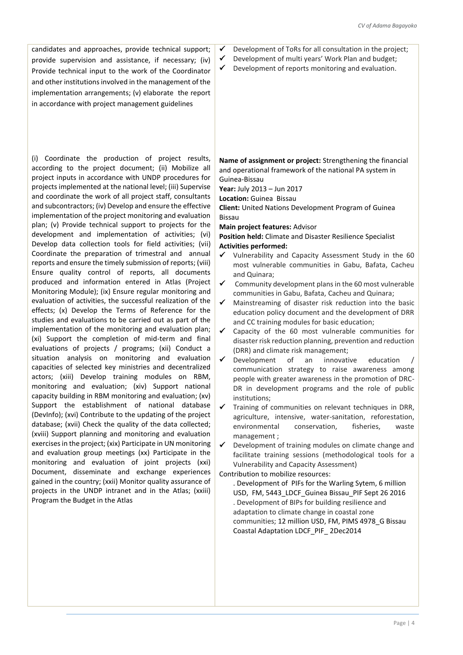candidates and approaches, provide technical support; provide supervision and assistance, if necessary; (iv) Provide technical input to the work of the Coordinator and other institutions involved in the management of the implementation arrangements; (v) elaborate the report in accordance with project management guidelines

(i) Coordinate the production of project results, according to the project document; (ii) Mobilize all project inputs in accordance with UNDP procedures for projects implemented at the national level; (iii) Supervise and coordinate the work of all project staff, consultants and subcontractors; (iv) Develop and ensure the effective implementation of the project monitoring and evaluation plan; (v) Provide technical support to projects for the development and implementation of activities; (vi) Develop data collection tools for field activities; (vii) Coordinate the preparation of trimestral and annual reports and ensure the timely submission of reports; (viii) Ensure quality control of reports, all documents produced and information entered in Atlas (Project Monitoring Module); (ix) Ensure regular monitoring and evaluation of activities, the successful realization of the effects; (x) Develop the Terms of Reference for the studies and evaluations to be carried out as part of the implementation of the monitoring and evaluation plan; (xi) Support the completion of mid-term and final evaluations of projects / programs; (xii) Conduct a situation analysis on monitoring and evaluation capacities of selected key ministries and decentralized actors; (xiii) Develop training modules on RBM, monitoring and evaluation; (xiv) Support national capacity building in RBM monitoring and evaluation; (xv) Support the establishment of national database (DevInfo); (xvi) Contribute to the updating of the project database; (xvii) Check the quality of the data collected; (xviii) Support planning and monitoring and evaluation exercises in the project; (xix) Participate in UN monitoring and evaluation group meetings (xx) Participate in the monitoring and evaluation of joint projects (xxi) Document, disseminate and exchange experiences gained in the country; (xxii) Monitor quality assurance of projects in the UNDP intranet and in the Atlas; (xxiii) Program the Budget in the Atlas

- Development of ToRs for all consultation in the project;
- $\checkmark$  Development of multi years' Work Plan and budget;
- $\checkmark$  Development of reports monitoring and evaluation.

**Name of assignment or project:** Strengthening the financial and operational framework of the national PA system in Guinea-Bissau

**Year:** July 2013 – Jun 2017

**Location:** Guinea Bissau

**Client:** United Nations Development Program of Guinea Bissau

**Main project features:** Advisor

**Position held:** Climate and Disaster Resilience Specialist **Activities performed:** 

- Vulnerability and Capacity Assessment Study in the 60 most vulnerable communities in Gabu, Bafata, Cacheu and Quinara;
- $\checkmark$  Community development plans in the 60 most vulnerable communities in Gabu, Bafata, Cacheu and Quinara;
- $\checkmark$  Mainstreaming of disaster risk reduction into the basic education policy document and the development of DRR and CC training modules for basic education;
- $\checkmark$  Capacity of the 60 most vulnerable communities for disaster risk reduction planning, prevention and reduction (DRR) and climate risk management;
- Development of an innovative education communication strategy to raise awareness among people with greater awareness in the promotion of DRC-DR in development programs and the role of public institutions;
- $\checkmark$  Training of communities on relevant techniques in DRR, agriculture, intensive, water-sanitation, reforestation, environmental conservation, fisheries, waste management ;

 $\checkmark$  Development of training modules on climate change and facilitate training sessions (methodological tools for a Vulnerability and Capacity Assessment)

Contribution to mobilize resources:

. Development of PIFs for the Warling Sytem, 6 million USD, FM, 5443 LDCF Guinea Bissau PIF Sept 26 2016 . Development of BIPs for building resilience and adaptation to climate change in coastal zone communities; 12 million USD, FM, PIMS 4978\_G Bissau Coastal Adaptation LDCF\_PIF\_ 2Dec2014